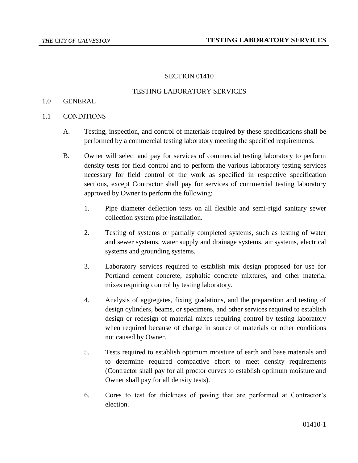### SECTION 01410

#### TESTING LABORATORY SERVICES

### 1.0 GENERAL

#### 1.1 CONDITIONS

- A. Testing, inspection, and control of materials required by these specifications shall be performed by a commercial testing laboratory meeting the specified requirements.
- B. Owner will select and pay for services of commercial testing laboratory to perform density tests for field control and to perform the various laboratory testing services necessary for field control of the work as specified in respective specification sections, except Contractor shall pay for services of commercial testing laboratory approved by Owner to perform the following:
	- 1. Pipe diameter deflection tests on all flexible and semi-rigid sanitary sewer collection system pipe installation.
	- 2. Testing of systems or partially completed systems, such as testing of water and sewer systems, water supply and drainage systems, air systems, electrical systems and grounding systems.
	- 3. Laboratory services required to establish mix design proposed for use for Portland cement concrete, asphaltic concrete mixtures, and other material mixes requiring control by testing laboratory.
	- 4. Analysis of aggregates, fixing gradations, and the preparation and testing of design cylinders, beams, or specimens, and other services required to establish design or redesign of material mixes requiring control by testing laboratory when required because of change in source of materials or other conditions not caused by Owner.
	- 5. Tests required to establish optimum moisture of earth and base materials and to determine required compactive effort to meet density requirements (Contractor shall pay for all proctor curves to establish optimum moisture and Owner shall pay for all density tests).
	- 6. Cores to test for thickness of paving that are performed at Contractor's election.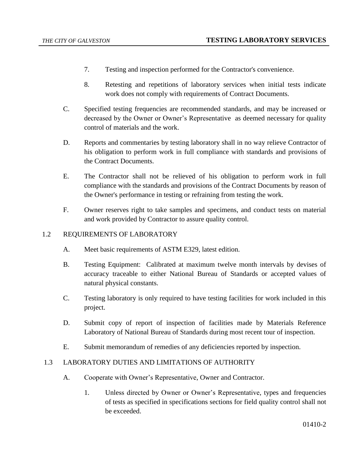- 7. Testing and inspection performed for the Contractor's convenience.
- 8. Retesting and repetitions of laboratory services when initial tests indicate work does not comply with requirements of Contract Documents.
- C. Specified testing frequencies are recommended standards, and may be increased or decreased by the Owner or Owner's Representative as deemed necessary for quality control of materials and the work.
- D. Reports and commentaries by testing laboratory shall in no way relieve Contractor of his obligation to perform work in full compliance with standards and provisions of the Contract Documents.
- E. The Contractor shall not be relieved of his obligation to perform work in full compliance with the standards and provisions of the Contract Documents by reason of the Owner's performance in testing or refraining from testing the work.
- F. Owner reserves right to take samples and specimens, and conduct tests on material and work provided by Contractor to assure quality control.

## 1.2 REQUIREMENTS OF LABORATORY

- A. Meet basic requirements of ASTM E329, latest edition.
- B. Testing Equipment: Calibrated at maximum twelve month intervals by devises of accuracy traceable to either National Bureau of Standards or accepted values of natural physical constants.
- C. Testing laboratory is only required to have testing facilities for work included in this project.
- D. Submit copy of report of inspection of facilities made by Materials Reference Laboratory of National Bureau of Standards during most recent tour of inspection.
- E. Submit memorandum of remedies of any deficiencies reported by inspection.

## 1.3 LABORATORY DUTIES AND LIMITATIONS OF AUTHORITY

- A. Cooperate with Owner's Representative, Owner and Contractor.
	- 1. Unless directed by Owner or Owner's Representative, types and frequencies of tests as specified in specifications sections for field quality control shall not be exceeded.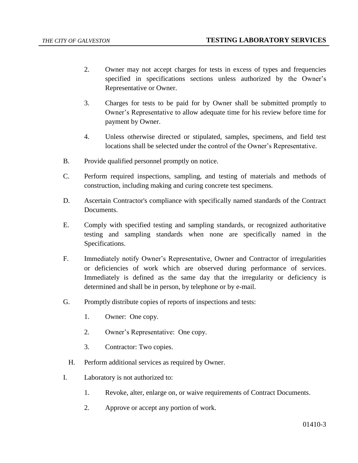- 2. Owner may not accept charges for tests in excess of types and frequencies specified in specifications sections unless authorized by the Owner's Representative or Owner.
- 3. Charges for tests to be paid for by Owner shall be submitted promptly to Owner's Representative to allow adequate time for his review before time for payment by Owner.
- 4. Unless otherwise directed or stipulated, samples, specimens, and field test locations shall be selected under the control of the Owner's Representative.
- B. Provide qualified personnel promptly on notice.
- C. Perform required inspections, sampling, and testing of materials and methods of construction, including making and curing concrete test specimens.
- D. Ascertain Contractor's compliance with specifically named standards of the Contract Documents.
- E. Comply with specified testing and sampling standards, or recognized authoritative testing and sampling standards when none are specifically named in the Specifications.
- F. Immediately notify Owner's Representative, Owner and Contractor of irregularities or deficiencies of work which are observed during performance of services. Immediately is defined as the same day that the irregularity or deficiency is determined and shall be in person, by telephone or by e-mail.
- G. Promptly distribute copies of reports of inspections and tests:
	- 1. Owner: One copy.
	- 2. Owner's Representative: One copy.
	- 3. Contractor: Two copies.
	- H. Perform additional services as required by Owner.
- I. Laboratory is not authorized to:
	- 1. Revoke, alter, enlarge on, or waive requirements of Contract Documents.
	- 2. Approve or accept any portion of work.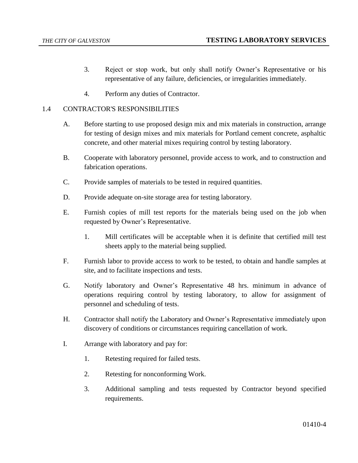- 3. Reject or stop work, but only shall notify Owner's Representative or his representative of any failure, deficiencies, or irregularities immediately.
- 4. Perform any duties of Contractor.

### 1.4 CONTRACTOR'S RESPONSIBILITIES

- A. Before starting to use proposed design mix and mix materials in construction, arrange for testing of design mixes and mix materials for Portland cement concrete, asphaltic concrete, and other material mixes requiring control by testing laboratory.
- B. Cooperate with laboratory personnel, provide access to work, and to construction and fabrication operations.
- C. Provide samples of materials to be tested in required quantities.
- D. Provide adequate on-site storage area for testing laboratory.
- E. Furnish copies of mill test reports for the materials being used on the job when requested by Owner's Representative.
	- 1. Mill certificates will be acceptable when it is definite that certified mill test sheets apply to the material being supplied.
- F. Furnish labor to provide access to work to be tested, to obtain and handle samples at site, and to facilitate inspections and tests.
- G. Notify laboratory and Owner's Representative 48 hrs. minimum in advance of operations requiring control by testing laboratory, to allow for assignment of personnel and scheduling of tests.
- H. Contractor shall notify the Laboratory and Owner's Representative immediately upon discovery of conditions or circumstances requiring cancellation of work.
- I. Arrange with laboratory and pay for:
	- 1. Retesting required for failed tests.
	- 2. Retesting for nonconforming Work.
	- 3. Additional sampling and tests requested by Contractor beyond specified requirements.